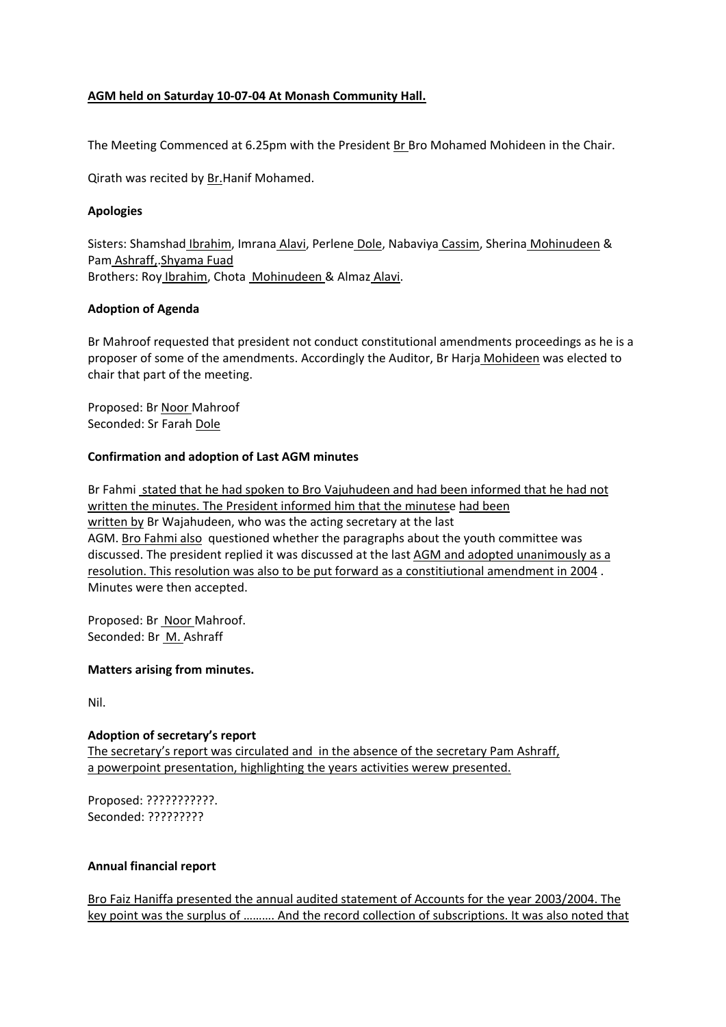# **AGM held on Saturday 10-07-04 At Monash Community Hall.**

The Meeting Commenced at 6.25pm with the President Br Bro Mohamed Mohideen in the Chair.

Qirath was recited by Br.Hanif Mohamed.

## **Apologies**

Sisters: Shamshad Ibrahim, Imrana Alavi, Perlene Dole, Nabaviya Cassim, Sherina Mohinudeen & Pam Ashraff,.Shyama Fuad Brothers: Roy Ibrahim, Chota Mohinudeen & Almaz Alavi.

# **Adoption of Agenda**

Br Mahroof requested that president not conduct constitutional amendments proceedings as he is a proposer of some of the amendments. Accordingly the Auditor, Br Harja Mohideen was elected to chair that part of the meeting.

Proposed: Br Noor Mahroof Seconded: Sr Farah Dole

# **Confirmation and adoption of Last AGM minutes**

Br Fahmi stated that he had spoken to Bro Vajuhudeen and had been informed that he had not written the minutes. The President informed him that the minutese had been written by Br Wajahudeen, who was the acting secretary at the last AGM. Bro Fahmi also questioned whether the paragraphs about the youth committee was discussed. The president replied it was discussed at the last AGM and adopted unanimously as a resolution. This resolution was also to be put forward as a constitiutional amendment in 2004 . Minutes were then accepted.

Proposed: Br Noor Mahroof. Seconded: Br M. Ashraff

## **Matters arising from minutes.**

Nil.

## **Adoption of secretary's report**

The secretary's report was circulated and in the absence of the secretary Pam Ashraff, a powerpoint presentation, highlighting the years activities werew presented.

Proposed: ???????????. Seconded: ?????????

## **Annual financial report**

Bro Faiz Haniffa presented the annual audited statement of Accounts for the year 2003/2004. The key point was the surplus of ………. And the record collection of subscriptions. It was also noted that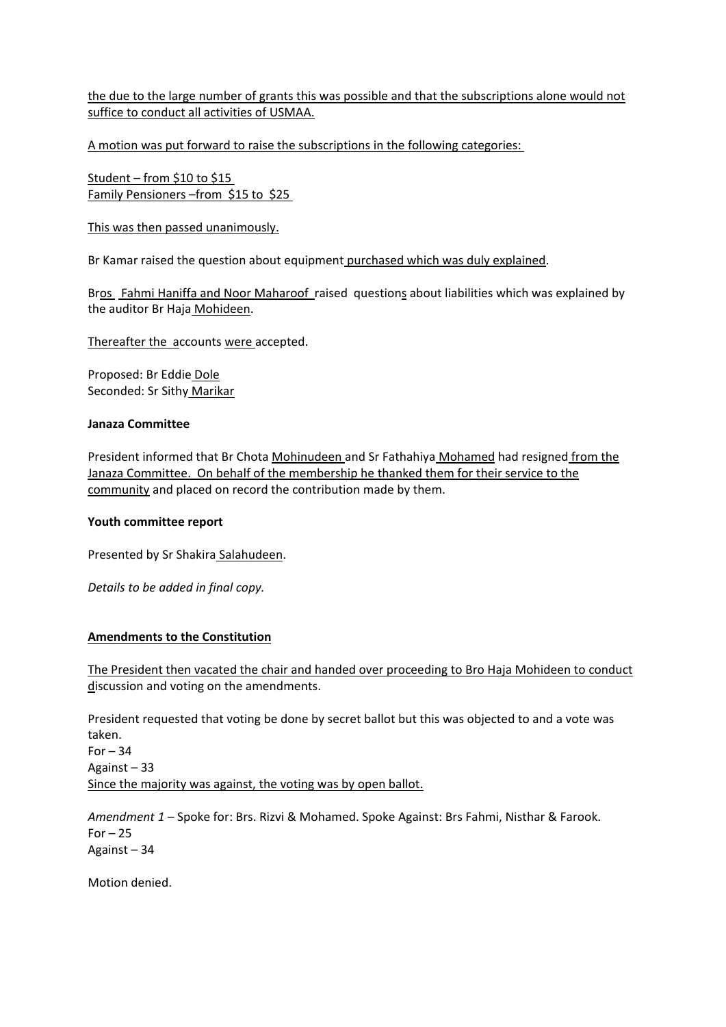the due to the large number of grants this was possible and that the subscriptions alone would not suffice to conduct all activities of USMAA.

A motion was put forward to raise the subscriptions in the following categories:

Student – from \$10 to \$15 Family Pensioners –from \$15 to \$25

This was then passed unanimously.

Br Kamar raised the question about equipment purchased which was duly explained.

Bros Fahmi Haniffa and Noor Maharoof raised questions about liabilities which was explained by the auditor Br Haja Mohideen.

Thereafter the accounts were accepted.

Proposed: Br Eddie Dole Seconded: Sr Sithy Marikar

#### **Janaza Committee**

President informed that Br Chota Mohinudeen and Sr Fathahiya Mohamed had resigned from the Janaza Committee. On behalf of the membership he thanked them for their service to the community and placed on record the contribution made by them.

#### **Youth committee report**

Presented by Sr Shakira Salahudeen.

*Details to be added in final copy.*

## **Amendments to the Constitution**

The President then vacated the chair and handed over proceeding to Bro Haja Mohideen to conduct discussion and voting on the amendments.

President requested that voting be done by secret ballot but this was objected to and a vote was taken. For  $-34$ Against – 33 Since the majority was against, the voting was by open ballot.

*Amendment 1 –* Spoke for: Brs. Rizvi & Mohamed. Spoke Against: Brs Fahmi, Nisthar & Farook.  $For - 25$ Against – 34

Motion denied.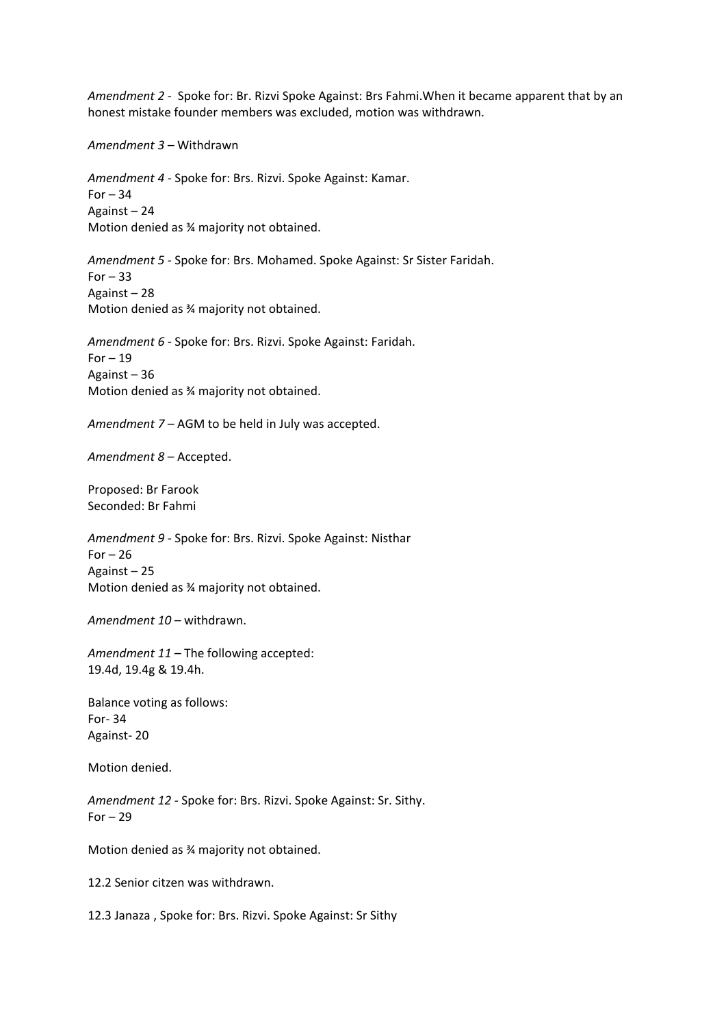*Amendment 2 -* Spoke for: Br. Rizvi Spoke Against: Brs Fahmi.When it became apparent that by an honest mistake founder members was excluded, motion was withdrawn.

*Amendment 3 –* Withdrawn

*Amendment 4 -* Spoke for: Brs. Rizvi. Spoke Against: Kamar.  $For - 34$ Against – 24 Motion denied as ¾ majority not obtained.

*Amendment 5 -* Spoke for: Brs. Mohamed. Spoke Against: Sr Sister Faridah.  $For - 33$ Against – 28 Motion denied as ¾ majority not obtained.

*Amendment 6 -* Spoke for: Brs. Rizvi. Spoke Against: Faridah.  $For - 19$ Against – 36 Motion denied as ¾ majority not obtained.

*Amendment 7 –* AGM to be held in July was accepted.

*Amendment 8* – Accepted.

Proposed: Br Farook Seconded: Br Fahmi

*Amendment 9 -* Spoke for: Brs. Rizvi. Spoke Against: Nisthar For  $-26$ Against – 25 Motion denied as ¾ majority not obtained.

*Amendment 10 –* withdrawn.

*Amendment 11 –* The following accepted: 19.4d, 19.4g & 19.4h.

Balance voting as follows: For- 34 Against- 20

Motion denied.

*Amendment 12 -* Spoke for: Brs. Rizvi. Spoke Against: Sr. Sithy.  $For - 29$ 

Motion denied as ¾ majority not obtained.

12.2 Senior citzen was withdrawn.

12.3 Janaza , Spoke for: Brs. Rizvi. Spoke Against: Sr Sithy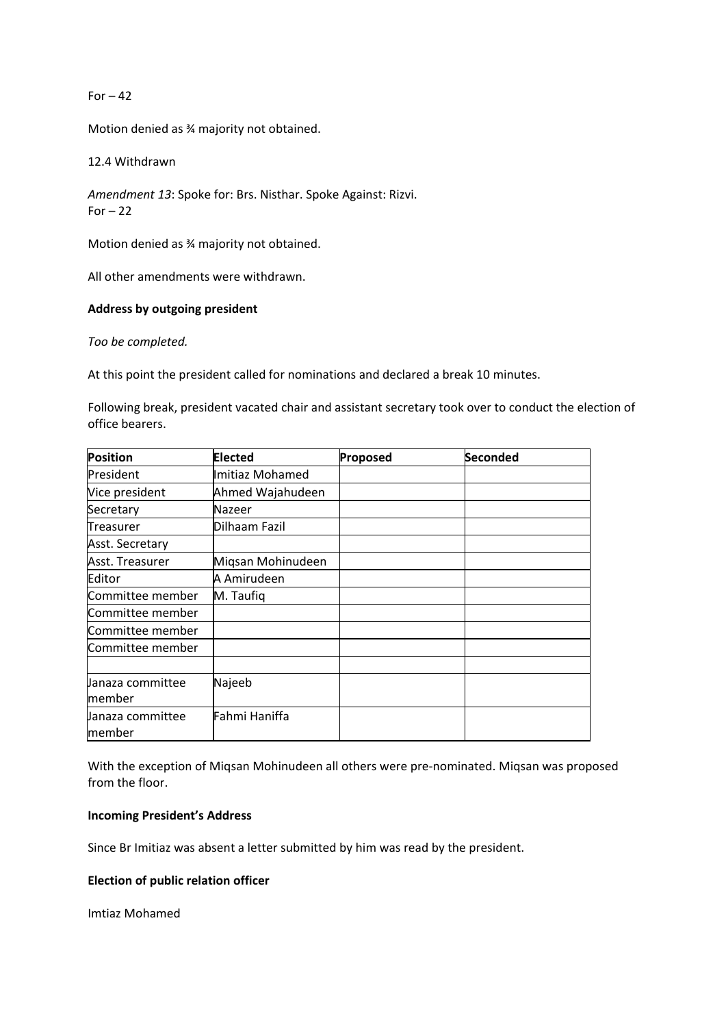For  $-42$ 

Motion denied as ¾ majority not obtained.

12.4 Withdrawn

*Amendment 13*: Spoke for: Brs. Nisthar. Spoke Against: Rizvi. For  $-22$ 

Motion denied as ¾ majority not obtained.

All other amendments were withdrawn.

#### **Address by outgoing president**

*Too be completed.*

At this point the president called for nominations and declared a break 10 minutes.

Following break, president vacated chair and assistant secretary took over to conduct the election of office bearers.

| Position          | <b>Elected</b>    | Proposed | Seconded |
|-------------------|-------------------|----------|----------|
| President         | Imitiaz Mohamed   |          |          |
| Vice president    | Ahmed Wajahudeen  |          |          |
| Secretary         | Nazeer            |          |          |
| Treasurer         | Dilhaam Fazil     |          |          |
| Asst. Secretary   |                   |          |          |
| Asst. Treasurer   | Migsan Mohinudeen |          |          |
| Editor            | A Amirudeen       |          |          |
| Committee member  | M. Taufig         |          |          |
| Committee member  |                   |          |          |
| Committee member  |                   |          |          |
| Committee member  |                   |          |          |
|                   |                   |          |          |
| Janaza committee  | Najeeb            |          |          |
| member            |                   |          |          |
| llanaza committee | Fahmi Haniffa     |          |          |
| member            |                   |          |          |

With the exception of Miqsan Mohinudeen all others were pre-nominated. Miqsan was proposed from the floor.

#### **Incoming President's Address**

Since Br Imitiaz was absent a letter submitted by him was read by the president.

## **Election of public relation officer**

Imtiaz Mohamed